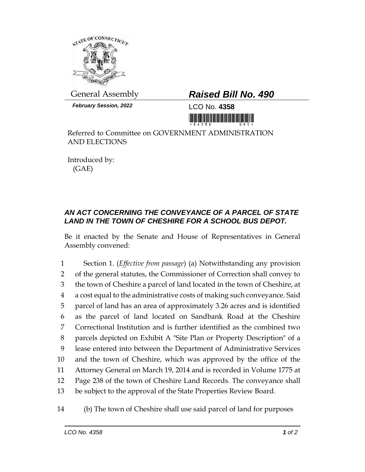

*February Session, 2022* LCO No. **4358**

## General Assembly *Raised Bill No. 490*

<u> 1999 - Johann Maria Baratta, ma</u>

Referred to Committee on GOVERNMENT ADMINISTRATION AND ELECTIONS

Introduced by: (GAE)

## *AN ACT CONCERNING THE CONVEYANCE OF A PARCEL OF STATE LAND IN THE TOWN OF CHESHIRE FOR A SCHOOL BUS DEPOT.*

Be it enacted by the Senate and House of Representatives in General Assembly convened:

 Section 1. (*Effective from passage*) (a) Notwithstanding any provision of the general statutes, the Commissioner of Correction shall convey to the town of Cheshire a parcel of land located in the town of Cheshire, at a cost equal to the administrative costs of making such conveyance. Said parcel of land has an area of approximately 3.26 acres and is identified as the parcel of land located on Sandbank Road at the Cheshire Correctional Institution and is further identified as the combined two parcels depicted on Exhibit A "Site Plan or Property Description" of a lease entered into between the Department of Administrative Services and the town of Cheshire, which was approved by the office of the Attorney General on March 19, 2014 and is recorded in Volume 1775 at Page 238 of the town of Cheshire Land Records. The conveyance shall be subject to the approval of the State Properties Review Board.

## 14 (b) The town of Cheshire shall use said parcel of land for purposes